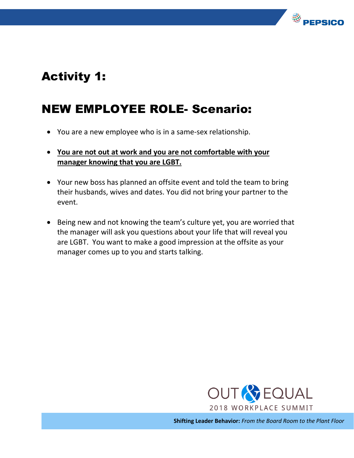

## Activity 1:

## NEW EMPLOYEE ROLE- Scenario:

- You are a new employee who is in a same-sex relationship.
- **You are not out at work and you are not comfortable with your manager knowing that you are LGBT.**
- Your new boss has planned an offsite event and told the team to bring their husbands, wives and dates. You did not bring your partner to the event.
- Being new and not knowing the team's culture yet, you are worried that the manager will ask you questions about your life that will reveal you are LGBT. You want to make a good impression at the offsite as your manager comes up to you and starts talking.



**Shifting Leader Behavior:** *From the Board Room to the Plant Floor*